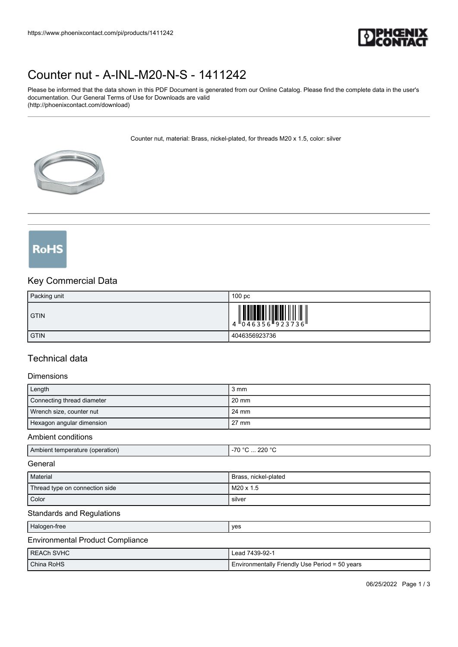

## [Counter nut - A-INL-M20-N-S - 1411242](https://www.phoenixcontact.com/pi/products/1411242)

Please be informed that the data shown in this PDF Document is generated from our Online Catalog. Please find the complete data in the user's documentation. Our General Terms of Use for Downloads are valid (http://phoenixcontact.com/download)

Counter nut, material: Brass, nickel-plated, for threads M20 x 1.5, color: silver



# **RoHS**

### Key Commercial Data

| Packing unit | 100 <sub>pc</sub> |
|--------------|-------------------|
| <b>GTIN</b>  |                   |
| <b>GTIN</b>  | 4046356923736     |

### Technical data

### Dimensions

| ------------                    |                  |
|---------------------------------|------------------|
| Length                          | 3 mm             |
| Connecting thread diameter      | 20 mm            |
| Wrench size, counter nut        | 24 mm            |
| Hexagon angular dimension       | 27 mm            |
| Ambient conditions              |                  |
| Ambient temperature (operation) | ำ -70 °C  220 °C |

#### **General**

| Material                       | Brass, nickel-plated |
|--------------------------------|----------------------|
| Thread type on connection side | M20 x 1.5            |
| Color                          | silver               |

### Standards and Regulations

| Halogen-free | yes |
|--------------|-----|
|--------------|-----|

### Environmental Product Compliance

| I REACh SVHC | Lead 7439-92-1                                 |
|--------------|------------------------------------------------|
| China RoHS   | Environmentally Friendly Use Period = 50 years |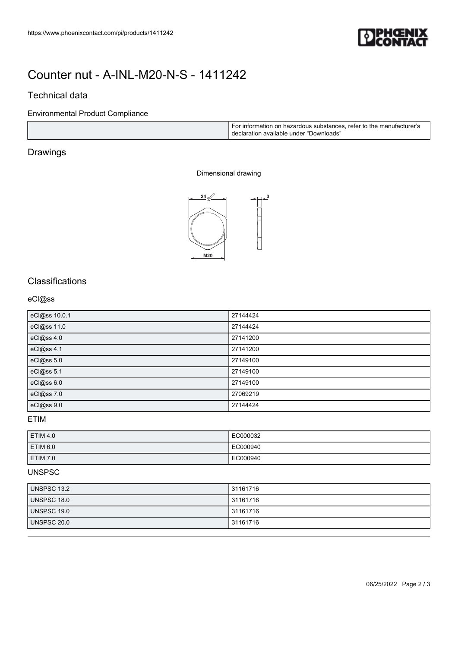

### [Counter nut - A-INL-M20-N-S - 1411242](https://www.phoenixcontact.com/pi/products/1411242)

### Technical data

### Environmental Product Compliance

|  | i For information on hazardous substances, refer to the manufacturer's<br>declaration available under "Downloads" |
|--|-------------------------------------------------------------------------------------------------------------------|
|--|-------------------------------------------------------------------------------------------------------------------|

### Drawings

### Dimensional drawing



### **Classifications**

### eCl@ss

| eCl@ss 10.0.1 | 27144424 |
|---------------|----------|
| eCl@ss 11.0   | 27144424 |
| eCl@ss 4.0    | 27141200 |
| eCl@ss 4.1    | 27141200 |
| eCl@ss 5.0    | 27149100 |
| eCl@ss 5.1    | 27149100 |
| eCl@ss 6.0    | 27149100 |
| eCl@ss 7.0    | 27069219 |
| eCl@ss 9.0    | 27144424 |

### ETIM

| ETIM 4.0        | EC000032 |
|-----------------|----------|
| <b>ETIM 6.0</b> | EC000940 |
| <b>ETIM 7.0</b> | EC000940 |

### UNSPSC

| UNSPSC 13.2 | 31161716 |
|-------------|----------|
| UNSPSC 18.0 | 31161716 |
| UNSPSC 19.0 | 31161716 |
| UNSPSC 20.0 | 31161716 |